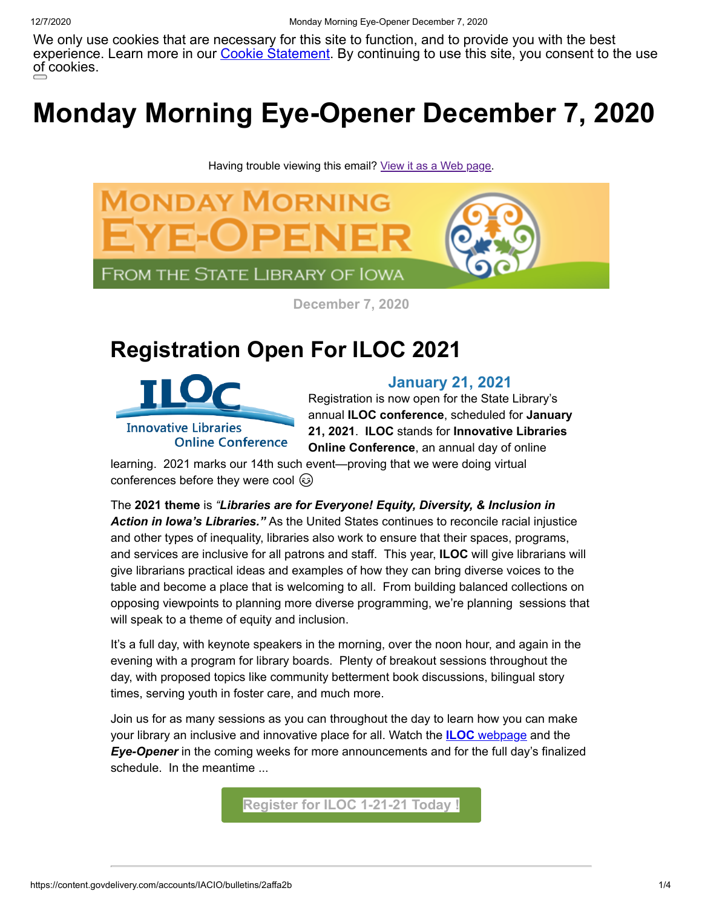We only use cookies that are necessary for this site to function, and to provide you with the best experience. Learn more in our <u>Cookie Statement</u>. By continuing to use this site, you consent to the use [of cookies.](https://www.iowa.gov/)

# **Monday Morning Eye-Opener December 7, 2020**

Having trouble viewing this email? [View it as a Web page.](https://content.govdelivery.com/accounts/IACIO/bulletins/2affa2b)



**December 7, 2020**

### **Registration Open For ILOC 2021**



#### **January 21, 2021**

Registration is now open for the State Library's annual **ILOC conference**, scheduled for **January 21, 2021**. **ILOC** stands for **Innovative Libraries Online Conference**, an annual day of online

learning. 2021 marks our 14th such event—proving that we were doing virtual conferences before they were cool  $\circledcirc$ 

The **2021 theme** is *"Libraries are for Everyone! Equity, Diversity, & Inclusion in Action in Iowa's Libraries."* As the United States continues to reconcile racial injustice and other types of inequality, libraries also work to ensure that their spaces, programs, and services are inclusive for all patrons and staff. This year, **ILOC** will give librarians will give librarians practical ideas and examples of how they can bring diverse voices to the table and become a place that is welcoming to all. From building balanced collections on opposing viewpoints to planning more diverse programming, we're planning sessions that will speak to a theme of equity and inclusion.

It's a full day, with keynote speakers in the morning, over the noon hour, and again in the evening with a program for library boards. Plenty of breakout sessions throughout the day, with proposed topics like community betterment book discussions, bilingual story times, serving youth in foster care, and much more.

Join us for as many sessions as you can throughout the day to learn how you can make your library an inclusive and innovative place for all. Watch the **ILOC** [webpage](https://www.statelibraryofiowa.org/ld/c-d/continuing-ed/iloc?utm_medium=email&utm_source=govdelivery) and the *Eye-Opener* in the coming weeks for more announcements and for the full day's finalized schedule. In the meantime ...

**[Register for ILOC 1-21-21 Today !](https://lsglm700.learnsoft.com/LSGLM/Login/ialearns.aspx?cid=88&loiid=236&showloi=1&svtab=6&utm_medium=email&utm_source=govdelivery)**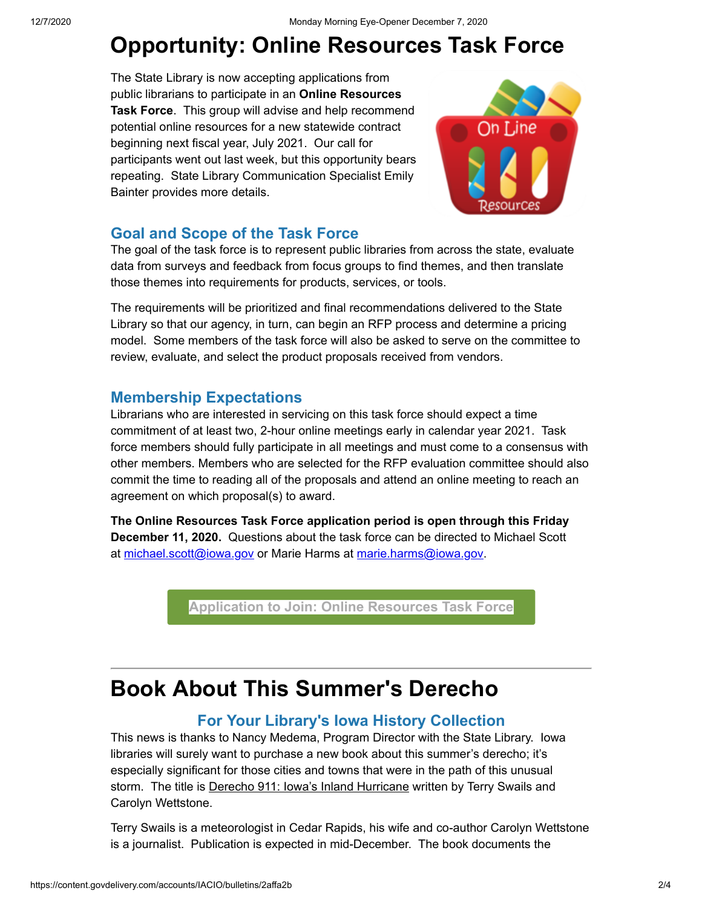# **Opportunity: Online Resources Task Force**

The State Library is now accepting applications from public librarians to participate in an **Online Resources Task Force**. This group will advise and help recommend potential online resources for a new statewide contract beginning next fiscal year, July 2021. Our call for participants went out last week, but this opportunity bears repeating. State Library Communication Specialist Emily Bainter provides more details.



#### **Goal and Scope of the Task Force**

The goal of the task force is to represent public libraries from across the state, evaluate data from surveys and feedback from focus groups to find themes, and then translate those themes into requirements for products, services, or tools.

The requirements will be prioritized and final recommendations delivered to the State Library so that our agency, in turn, can begin an RFP process and determine a pricing model. Some members of the task force will also be asked to serve on the committee to review, evaluate, and select the product proposals received from vendors.

#### **Membership Expectations**

Librarians who are interested in servicing on this task force should expect a time commitment of at least two, 2-hour online meetings early in calendar year 2021. Task force members should fully participate in all meetings and must come to a consensus with other members. Members who are selected for the RFP evaluation committee should also commit the time to reading all of the proposals and attend an online meeting to reach an agreement on which proposal(s) to award.

**The Online Resources Task Force application period is open through this Friday December 11, 2020.** Questions about the task force can be directed to Michael Scott at michael.scott@iowa.gov</u> or Marie Harms at [marie.harms@iowa.gov.](https://lnks.gd/l/eyJhbGciOiJIUzI1NiJ9.eyJidWxsZXRpbl9saW5rX2lkIjoxMDIsInVyaSI6ImJwMjpjbGljayIsImJ1bGxldGluX2lkIjoiMjAyMDEyMDMuMzE1MTQzMDEiLCJ1cmwiOiJodHRwczovL21haWwuZ29vZ2xlLmNvbS9tYWlsLz9mcz0xJnRmPTEmdG89bWFyaWUuaGFybXMlNDBpb3dhLmdvdiZ1dG1fbWVkaXVtPWVtYWlsJnV0bV9zb3VyY2U9Z292ZGVsaXZlcnkmdmlldz1jbSJ9.QGXcsRzw-76JGjDxlw3GoAAMkHdguaKooJNp4RuY0vQ/s/701359758/br/91047219079-l?utm_medium=email&utm_source=govdelivery)

**[Application to Join: Online Resources Task Force](https://stateofiowa.seamlessdocs.com/f/SLORTFApp?utm_medium=email&utm_source=govdelivery)**

### **Book About This Summer's Derecho**

#### **For Your Library's Iowa History Collection**

This news is thanks to Nancy Medema, Program Director with the State Library.Iowa libraries will surely want to purchase a new book about this summer's derecho; it's especially significant for those cities and towns that were in the path of this unusual storm. The title is Derecho 911: Iowa's Inland Hurricane written by Terry Swails and Carolyn Wettstone.

Terry Swails is a meteorologist in Cedar Rapids, his wife and co-author Carolyn Wettstone is a journalist. Publication is expected in mid-December. The book documents the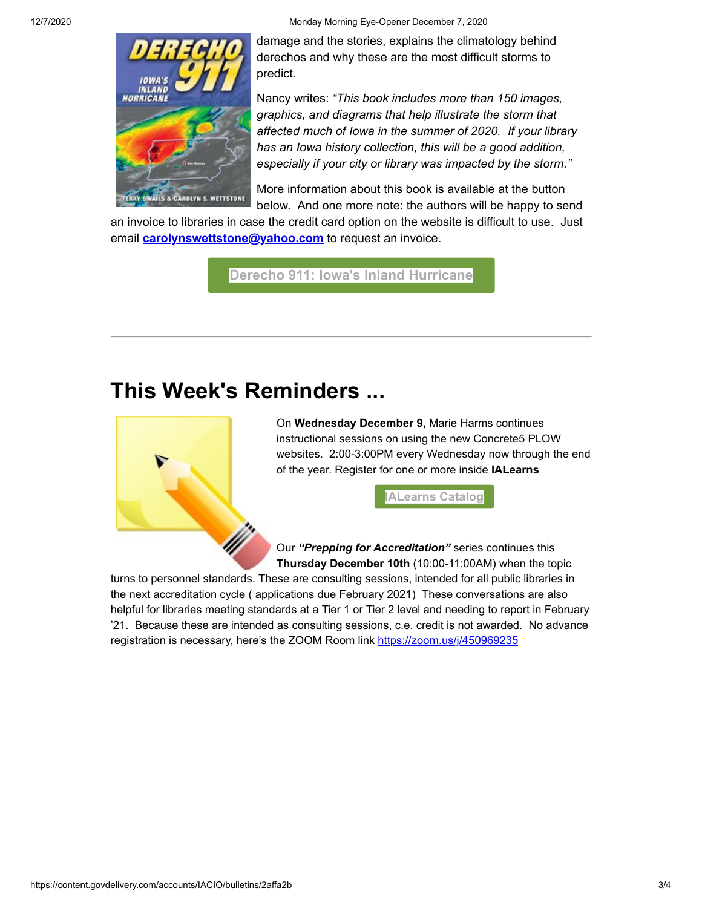12/7/2020 Monday Morning Eye-Opener December 7, 2020



damage and the stories, explains the climatology behind derechos and why these are the most difficult storms to predict.

Nancy writes: *"This book includes more than 150 images, graphics, and diagrams that help illustrate the storm that affected much of Iowa in the summer of 2020. If your library has an Iowa history collection, this will be a good addition, especially if your city or library was impacted by the storm."*

More information about this book is available at the button below. And one more note: the authors will be happy to send

an invoice to libraries in case the credit card option on the website is difficult to use. Just email **[carolynswettstone@yahoo.com](mailto:carolynswettstone@yahoo.com)** to request an invoice.

**[Derecho 911: Iowa's Inland Hurricane](https://www.tswails.com/derecho-911?utm_medium=email&utm_source=govdelivery)**

## **This Week's Reminders ...**



On **Wednesday December 9,** Marie Harms continues instructional sessions on using the new Concrete5 PLOW websites. 2:00-3:00PM every Wednesday now through the end of the year. Register for one or more inside **IALearns** 

**[IALearns Catalog](https://lsglm700.learnsoft.com/LSGLM/Login/ialearns.aspx?utm_medium=email&utm_source=govdelivery)**

Our *"Prepping for Accreditation"* series continues this **Thursday December 10th** (10:00-11:00AM) when the topic

turns to personnel standards. These are consulting sessions, intended for all public libraries in the next accreditation cycle ( applications due February 2021) These conversations are also helpful for libraries meeting standards at a Tier 1 or Tier 2 level and needing to report in February '21. Because these are intended as consulting sessions, c.e. credit is not awarded. No advance registration is necessary, here's the ZOOM Room link [https://zoom.us/j/450969235](https://zoom.us/j/450969235?utm_medium=email&utm_source=govdelivery)